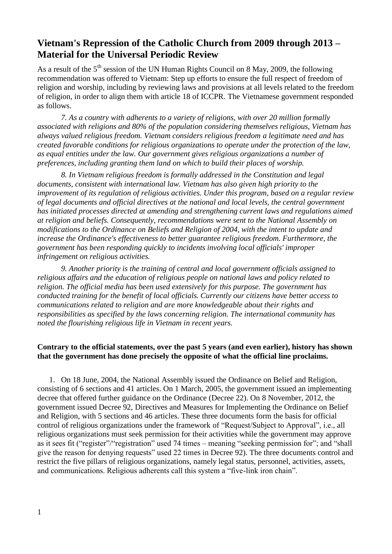# **Vietnam's Repression of the Catholic Church from 2009 through 2013 – Material for the Universal Periodic Review**

As a result of the 5<sup>th</sup> session of the UN Human Rights Council on 8 May, 2009, the following recommendation was offered to Vietnam: Step up efforts to ensure the full respect of freedom of religion and worship, including by reviewing laws and provisions at all levels related to the freedom of religion, in order to align them with article 18 of ICCPR. The Vietnamese government responded as follows.

*7. As a country with adherents to a variety of religions, with over 20 million formally associated with religions and 80% of the population considering themselves religious, Vietnam has always valued religious freedom. Vietnam considers religious freedom a legitimate need and has created favorable conditions for religious organizations to operate under the protection of the law, as equal entities under the law. Our government gives religious organizations a number of preferences, including granting them land on which to build their places of worship.*

*8. In Vietnam religious freedom is formally addressed in the Constitution and legal documents, consistent with international law. Vietnam has also given high priority to the improvement of its regulation of religious activities. Under this program, based on a regular review of legal documents and official directives at the national and local levels, the central government has initiated processes directed at amending and strengthening current laws and regulations aimed at religion and beliefs. Consequently, recommendations were sent to the National Assembly on modifications to the Ordinance on Beliefs and Religion of 2004, with the intent to update and increase the Ordinance's effectiveness to better guarantee religious freedom. Furthermore, the government has been responding quickly to incidents involving local officials' improper infringement on religious activities.* 

*9. Another priority is the training of central and local government officials assigned to religious affairs and the education of religious people on national laws and policy related to religion. The official media has been used extensively for this purpose. The government has conducted training for the benefit of local officials. Currently our citizens have better access to communications related to religion and are more knowledgeable about their rights and responsibilities as specified by the laws concerning religion. The international community has noted the flourishing religious life in Vietnam in recent years.* 

## **Contrary to the official statements, over the past 5 years (and even earlier), history has shown that the government has done precisely the opposite of what the official line proclaims.**

1. On 18 June, 2004, the National Assembly issued the Ordinance on Belief and Religion, consisting of 6 sections and 41 articles. On 1 March, 2005, the government issued an implementing decree that offered further guidance on the Ordinance (Decree 22). On 8 November, 2012, the government issued Decree 92, Directives and Measures for Implementing the Ordinance on Belief and Religion, with 5 sections and 46 articles. These three documents form the basis for official control of religious organizations under the framework of "Request/Subject to Approval", i.e., all religious organizations must seek permission for their activities while the government may approve as it sees fit ("register"/"registration" used 74 times – meaning "seeking permission for"; and "shall give the reason for denying requests" used 22 times in Decree 92). The three documents control and restrict the five pillars of religious organizations, namely legal status, personnel, activities, assets, and communications. Religious adherents call this system a "five-link iron chain".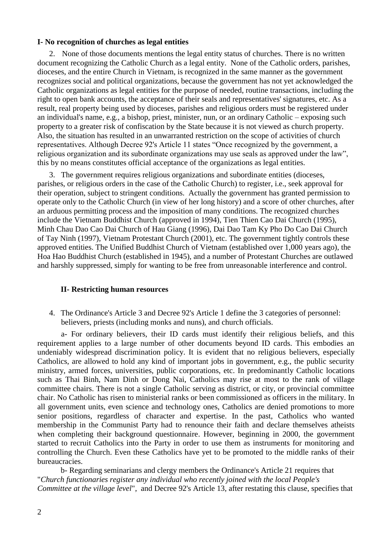#### **I- No recognition of churches as legal entities**

2. None of those documents mentions the legal entity status of churches. There is no written document recognizing the Catholic Church as a legal entity. None of the Catholic orders, parishes, dioceses, and the entire Church in Vietnam, is recognized in the same manner as the government recognizes social and political organizations, because the government has not yet acknowledged the Catholic organizations as legal entities for the purpose of needed, routine transactions, including the right to open bank accounts, the acceptance of their seals and representatives' signatures, etc. As a result, real property being used by dioceses, parishes and religious orders must be registered under an individual's name, e.g., a bishop, priest, minister, nun, or an ordinary Catholic – exposing such property to a greater risk of confiscation by the State because it is not viewed as church property. Also, the situation has resulted in an unwarranted restriction on the scope of activities of church representatives. Although Decree 92's Article 11 states "Once recognized by the government, a religious organization and its subordinate organizations may use seals as approved under the law", this by no means constitutes official acceptance of the organizations as legal entities.

3. The government requires religious organizations and subordinate entities (dioceses, parishes, or religious orders in the case of the Catholic Church) to register, i.e., seek approval for their operation, subject to stringent conditions. Actually the government has granted permission to operate only to the Catholic Church (in view of her long history) and a score of other churches, after an arduous permitting process and the imposition of many conditions. The recognized churches include the Vietnam Buddhist Church (approved in 1994), Tien Thien Cao Dai Church (1995), Minh Chau Dao Cao Dai Church of Hau Giang (1996), Dai Dao Tam Ky Pho Do Cao Dai Church of Tay Ninh (1997), Vietnam Protestant Church (2001), etc. The government tightly controls these approved entities. The Unified Buddhist Church of Vietnam (established over 1,000 years ago), the Hoa Hao Buddhist Church (established in 1945), and a number of Protestant Churches are outlawed and harshly suppressed, simply for wanting to be free from unreasonable interference and control.

#### **II- Restricting human resources**

4. The Ordinance's Article 3 and Decree 92's Article 1 define the 3 categories of personnel: believers, priests (including monks and nuns), and church officials.

a- For ordinary believers, their ID cards must identify their religious beliefs, and this requirement applies to a large number of other documents beyond ID cards. This embodies an undeniably widespread discrimination policy. It is evident that no religious believers, especially Catholics, are allowed to hold any kind of important jobs in government, e.g., the public security ministry, armed forces, universities, public corporations, etc. In predominantly Catholic locations such as Thai Binh, Nam Dinh or Dong Nai, Catholics may rise at most to the rank of village committee chairs. There is not a single Catholic serving as district, or city, or provincial committee chair. No Catholic has risen to ministerial ranks or been commissioned as officers in the military. In all government units, even science and technology ones, Catholics are denied promotions to more senior positions, regardless of character and expertise. In the past, Catholics who wanted membership in the Communist Party had to renounce their faith and declare themselves atheists when completing their background questionnaire. However, beginning in 2000, the government started to recruit Catholics into the Party in order to use them as instruments for monitoring and controlling the Church. Even these Catholics have yet to be promoted to the middle ranks of their bureaucracies.

b- Regarding seminarians and clergy members the Ordinance's Article 21 requires that "*Church functionaries register any individual who recently joined with the local People's Committee at the village level*", and Decree 92's Article 13, after restating this clause, specifies that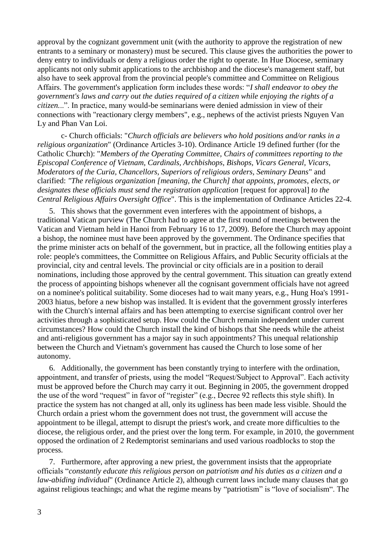approval by the cognizant government unit (with the authority to approve the registration of new entrants to a seminary or monastery) must be secured. This clause gives the authorities the power to deny entry to individuals or deny a religious order the right to operate. In Hue Diocese, seminary applicants not only submit applications to the archbishop and the diocese's management staff, but also have to seek approval from the provincial people's committee and Committee on Religious Affairs. The government's application form includes these words: "*I shall endeavor to obey the government's laws and carry out the duties required of a citizen while enjoying the rights of a citizen.*..". In practice, many would-be seminarians were denied admission in view of their connections with "reactionary clergy members", e.g., nephews of the activist priests Nguyen Van Ly and Phan Van Loi.

c- Church officials: "*Church officials are believers who hold positions and/or ranks in a religious organization*" (Ordinance Articles 3-10). Ordinance Article 19 defined further (for the Catholic Chu**r**ch): "*Members of the Operating Committee, Chairs of committees reporting to the Episcopal Conference of Vietnam, Cardinals, Archbishops, Bishops, Vicars General, Vicars, Moderators of the Curia, Chancellors, Superiors of religious orders, Seminary Deans*" and clarified: *"The religious organization [meaning, the Church] that appoints, promotes, elects, or designates these officials must send the registration application* [request for approval] *to the Central Religious Affairs Oversight Office*". This is the implementation of Ordinance Articles 22-4.

5. This shows that the government even interferes with the appointment of bishops, a traditional Vatican purview (The Church had to agree at the first round of meetings between the Vatican and Vietnam held in Hanoi from February 16 to 17, 2009). Before the Church may appoint a bishop, the nominee must have been approved by the government. The Ordinance specifies that the prime minister acts on behalf of the government, but in practice, all the following entities play a role: people's committees, the Committee on Religious Affairs, and Public Security officials at the provincial, city and central levels. The provincial or city officials are in a position to derail nominations, including those approved by the central government. This situation can greatly extend the process of appointing bishops whenever all the cognisant government officials have not agreed on a nominee's political suitability. Some dioceses had to wait many years, e.g., Hung Hoa's 1991- 2003 hiatus, before a new bishop was installed. It is evident that the government grossly interferes with the Church's internal affairs and has been attempting to exercise significant control over her activities through a sophisticated setup. How could the Church remain independent under current circumstances? How could the Church install the kind of bishops that She needs while the atheist and anti-religious government has a major say in such appointments? This unequal relationship between the Church and Vietnam's government has caused the Church to lose some of her autonomy.

6. Additionally, the government has been constantly trying to interfere with the ordination, appointment, and transfer of priests, using the model "Request/Subject to Approval". Each activity must be approved before the Church may carry it out. Beginning in 2005, the government dropped the use of the word "request" in favor of "register" (e.g., Decree 92 reflects this style shift). In practice the system has not changed at all, only its ugliness has been made less visible. Should the Church ordain a priest whom the government does not trust, the government will accuse the appointment to be illegal, attempt to disrupt the priest's work, and create more difficulties to the diocese, the religious order, and the priest over the long term. For example, in 2010, the government opposed the ordination of 2 Redemptorist seminarians and used various roadblocks to stop the process.

7. Furthermore, after approving a new priest, the government insists that the appropriate officials "*constantly educate this religious person on patriotism and his duties as a citizen and a law-abiding individual*" (Ordinance Article 2), although current laws include many clauses that go against religious teachings; and what the regime means by "patriotism" is "love of socialism". The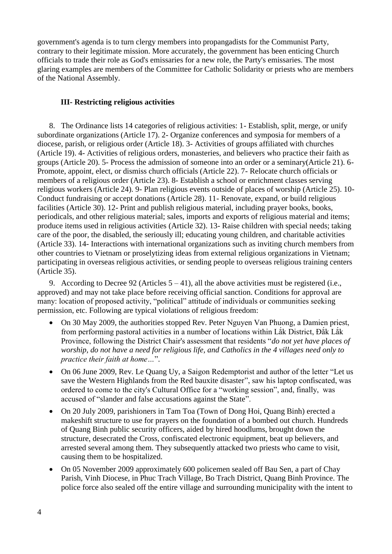government's agenda is to turn clergy members into propangadists for the Communist Party, contrary to their legitimate mission. More accurately, the government has been enticing Church officials to trade their role as God's emissaries for a new role, the Party's emissaries. The most glaring examples are members of the Committee for Catholic Solidarity or priests who are members of the National Assembly.

## **III- Restricting religious activities**

8. The Ordinance lists 14 categories of religious activities: 1- Establish, split, merge, or unify subordinate organizations (Article 17). 2- Organize conferences and symposia for members of a diocese, parish, or religious order (Article 18). 3- Activities of groups affiliated with churches (Article 19). 4- Activities of religious orders, monasteries, and believers who practice their faith as groups (Article 20). 5- Process the admission of someone into an order or a seminary(Article 21). 6- Promote, appoint, elect, or dismiss church officials (Article 22). 7- Relocate church officials or members of a religious order (Article 23). 8- Establish a school or enrichment classes serving religious workers (Article 24). 9- Plan religious events outside of places of worship (Article 25). 10- Conduct fundraising or accept donations (Article 28). 11- Renovate, expand, or build religious facilities (Article 30). 12- Print and publish religious material, including prayer books, books, periodicals, and other religious material; sales, imports and exports of religious material and items; produce items used in religious activities (Article 32). 13- Raise children with special needs; taking care of the poor, the disabled, the seriously ill; educating young children, and charitable activities (Article 33). 14- Interactions with international organizations such as inviting church members from other countries to Vietnam or proselytizing ideas from external religious organizations in Vietnam; participating in overseas religious activities, or sending people to overseas religious training centers (Article 35).

9. According to Decree 92 (Articles  $5 - 41$ ), all the above activities must be registered (i.e., approved) and may not take place before receiving official sanction. Conditions for approval are many: location of proposed activity, "political" attitude of individuals or communities seeking permission, etc. Following are typical violations of religious freedom:

- On 30 May 2009, the authorities stopped Rev. Peter Nguyen Van Phuong, a Damien priest, from performing pastoral activities in a number of locations within Lak District,  $\vec{D}$  Dak Lak Province, following the District Chair's assessment that residents "*do not yet have p*l*aces of worship, do not have a need for religious life, and Catholics in the 4 villages need only to practice their faith at home…*".
- On 06 June 2009, Rev. Le Quang Uy, a Saigon Redemptorist and author of the letter "Let us save the Western Highlands from the Red bauxite disaster", saw his laptop confiscated, was ordered to come to the city's Cultural Office for a "working session", and, finally, was accused of "slander and false accusations against the State".
- On 20 July 2009, parishioners in Tam Toa (Town of Dong Hoi, Quang Binh) erected a makeshift structure to use for prayers on the foundation of a bombed out church. Hundreds of Quang Binh public security officers, aided by hired hoodlums, brought down the structure, desecrated the Cross, confiscated electronic equipment, beat up believers, and arrested several among them. They subsequently attacked two priests who came to visit, causing them to be hospitalized.
- On 05 November 2009 approximately 600 policemen sealed off Bau Sen, a part of Chay Parish, Vinh Diocese, in Phuc Trach Village, Bo Trach District, Quang Binh Province. The police force also sealed off the entire village and surrounding municipality with the intent to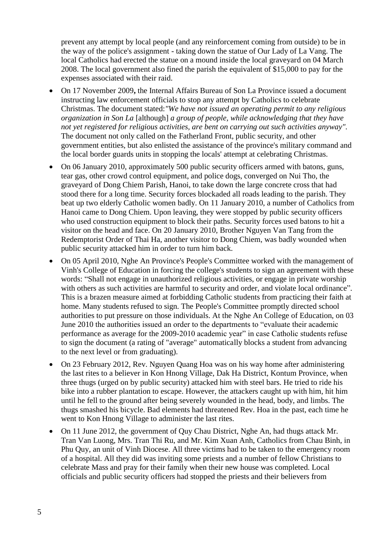prevent any attempt by local people (and any reinforcement coming from outside) to be in the way of the police's assignment - taking down the statue of Our Lady of La Vang. The local Catholics had erected the statue on a mound inside the local graveyard on 04 March 2008. The local government also fined the parish the equivalent of \$15,000 to pay for the expenses associated with their raid.

- On 17 November 2009**,** the Internal Affairs Bureau of Son La Province issued a document instructing law enforcement officials to stop any attempt by Catholics to celebrate Christmas. The document stated:*"We have not issued an operating permit to any religious organization in Son La* [although] *a group of people, while acknowledging that they have not yet registered for religious activities, are bent on carrying out such activities anyway".*  The document not only called on the Fatherland Front, public security, and other government entities, but also enlisted the assistance of the province's military command and the local border guards units in stopping the locals' attempt at celebrating Christmas.
- On 06 January 2010, approximately 500 public security officers armed with batons, guns, tear gas, other crowd control equipment, and police dogs, converged on Nui Tho, the graveyard of Dong Chiem Parish, Hanoi, to take down the large concrete cross that had stood there for a long time. Security forces blockaded all roads leading to the parish. They beat up two elderly Catholic women badly. On 11 January 2010, a number of Catholics from Hanoi came to Dong Chiem. Upon leaving, they were stopped by public security officers who used construction equipment to block their paths. Security forces used batons to hit a visitor on the head and face. On 20 January 2010, Brother Nguyen Van Tang from the Redemptorist Order of Thai Ha, another visitor to Dong Chiem, was badly wounded when public security attacked him in order to turn him back.
- On 05 April 2010, Nghe An Province's People's Committee worked with the management of Vinh's College of Education in forcing the college's students to sign an agreement with these words: "Shall not engage in unauthorized religious activities, or engage in private worship with others as such activities are harmful to security and order, and violate local ordinance"*.* This is a brazen measure aimed at forbidding Catholic students from practicing their faith at home. Many students refused to sign. The People's Committee promptly directed school authorities to put pressure on those individuals. At the Nghe An College of Education, on 03 June 2010 the authorities issued an order to the departments to "evaluate their academic performance as average for the 2009-2010 academic year" in case Catholic students refuse to sign the document (a rating of "average" automatically blocks a student from advancing to the next level or from graduating).
- On 23 February 2012, Rev. Nguyen Quang Hoa was on his way home after administering the last rites to a believer in Kon Hnong Village, Dak Ha District, Kontum Province, when three thugs (urged on by public security) attacked him with steel bars. He tried to ride his bike into a rubber plantation to escape. However, the attackers caught up with him, hit him until he fell to the ground after being severely wounded in the head, body, and limbs. The thugs smashed his bicycle. Bad elements had threatened Rev. Hoa in the past, each time he went to Kon Hnong Village to administer the last rites.
- On 11 June 2012, the government of Quy Chau District, Nghe An, had thugs attack Mr. Tran Van Luong, Mrs. Tran Thi Ru, and Mr. Kim Xuan Anh, Catholics from Chau Binh, in Phu Quy, an unit of Vinh Diocese. All three victims had to be taken to the emergency room of a hospital. All they did was inviting some priests and a number of fellow Christians to celebrate Mass and pray for their family when their new house was completed. Local officials and public security officers had stopped the priests and their believers from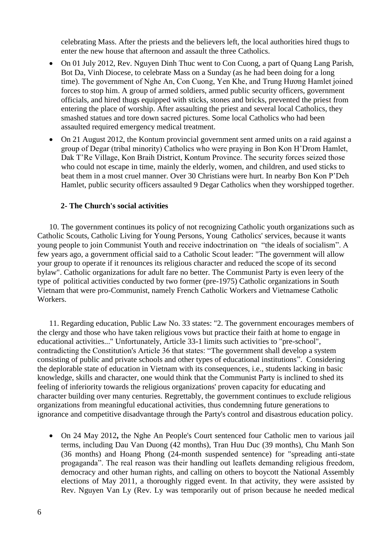celebrating Mass. After the priests and the believers left, the local authorities hired thugs to enter the new house that afternoon and assault the three Catholics.

- On 01 July 2012, Rev. Nguyen Dinh Thuc went to Con Cuong, a part of Quang Lang Parish, Bot Da, Vinh Diocese, to celebrate Mass on a Sunday (as he had been doing for a long time). The government of Nghe An, Con Cuong, Yen Khe, and Trung Huong Hamlet joined forces to stop him. A group of armed soldiers, armed public security officers, government officials, and hired thugs equipped with sticks, stones and bricks, prevented the priest from entering the place of worship. After assaulting the priest and several local Catholics, they smashed statues and tore down sacred pictures. Some local Catholics who had been assaulted required emergency medical treatment.
- On 21 August 2012, the Kontum provincial government sent armed units on a raid against a group of Degar (tribal minority) Catholics who were praying in Bon Kon H'Drom Hamlet, Dak T'Re Village, Kon Braih District, Kontum Province. The security forces seized those who could not escape in time, mainly the elderly, women, and children, and used sticks to beat them in a most cruel manner. Over 30 Christians were hurt. In nearby Bon Kon P'Deh Hamlet, public security officers assaulted 9 Degar Catholics when they worshipped together.

### **2- The Church's social activities**

10. The government continues its policy of not recognizing Catholic youth organizations such as Catholic Scouts, Catholic Living for Young Persons, Young Catholics' services, because it wants young people to join Communist Youth and receive indoctrination on "the ideals of socialism". A few years ago, a government official said to a Catholic Scout leader: "The government will allow your group to operate if it renounces its religious character and reduced the scope of its second bylaw". Catholic organizations for adult fare no better. The Communist Party is even leery of the type of political activities conducted by two former (pre-1975) Catholic organizations in South Vietnam that were pro-Communist, namely French Catholic Workers and Vietnamese Catholic Workers.

11. Regarding education, Public Law No. 33 states: "2. The government encourages members of the clergy and those who have taken religious vows but practice their faith at home to engage in educational activities..." Unfortunately, Article 33-1 limits such activities to "pre-school", contradicting the Constitution's Article 36 that states: "The government shall develop a system consisting of public and private schools and other types of educational institutions". Considering the deplorable state of education in Vietnam with its consequences, i.e., students lacking in basic knowledge, skills and character, one would think that the Communist Party is inclined to shed its feeling of inferiority towards the religious organizations' proven capacity for educating and character building over many centuries. Regrettably, the government continues to exclude religious organizations from meaningful educational activities, thus condemning future generations to ignorance and competitive disadvantage through the Party's control and disastrous education policy.

 On 24 May 2012**,** the Nghe An People's Court sentenced four Catholic men to various jail terms, including Dau Van Duong (42 months), Tran Huu Duc (39 months), Chu Manh Son (36 months) and Hoang Phong (24-month suspended sentence) for "spreading anti-state progaganda". The real reason was their handling out leaflets demanding religious freedom, democracy and other human rights, and calling on others to boycott the National Assembly elections of May 2011, a thoroughly rigged event. In that activity, they were assisted by Rev. Nguyen Van Ly (Rev. Ly was temporarily out of prison because he needed medical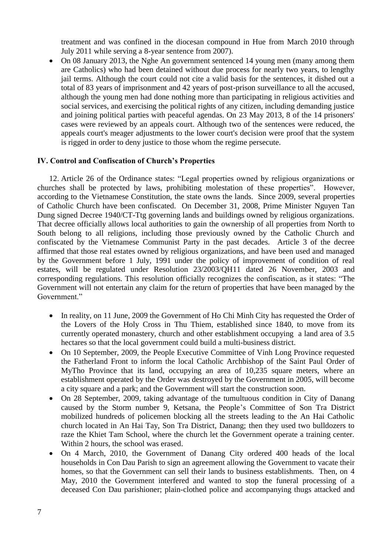treatment and was confined in the diocesan compound in Hue from March 2010 through July 2011 while serving a 8-year sentence from 2007).

 On 08 January 2013, the Nghe An government sentenced 14 young men (many among them are Catholics) who had been detained without due process for nearly two years, to lengthy jail terms. Although the court could not cite a valid basis for the sentences, it dished out a total of 83 years of imprisonment and 42 years of post-prison surveillance to all the accused, although the young men had done nothing more than participating in religious activities and social services, and exercising the political rights of any citizen, including demanding justice and joining political parties with peaceful agendas. On 23 May 2013, 8 of the 14 prisoners' cases were reviewed by an appeals court. Although two of the sentences were reduced, the appeals court's meager adjustments to the lower court's decision were proof that the system is rigged in order to deny justice to those whom the regime persecute.

#### **IV. Control and Confiscation of Church's Properties**

12. Article 26 of the Ordinance states: "Legal properties owned by religious organizations or churches shall be protected by laws, prohibiting molestation of these properties". However, according to the Vietnamese Constitution, the state owns the lands. Since 2009, several properties of Catholic Church have been confiscated. On December 31, 2008, Prime Minister Nguyen Tan Dung signed Decree 1940/CT-Ttg governing lands and buildings owned by religious organizations. That decree officially allows local authorities to gain the ownership of all properties from North to South belong to all religions, including those previously owned by the Catholic Church and confiscated by the Vietnamese Communist Party in the past decades. Article 3 of the decree affirmed that those real estates owned by religious organizations, and have been used and managed by the Government before 1 July, 1991 under the policy of improvement of condition of real estates, will be regulated under Resolution 23/2003/QH11 dated 26 November, 2003 and corresponding regulations. This resolution officially recognizes the confiscation, as it states: "The Government will not entertain any claim for the return of properties that have been managed by the Government."

- In reality, on 11 June, 2009 the Government of Ho Chi Minh City has requested the Order of the Lovers of the Holy Cross in Thu Thiem, established since 1840, to move from its currently operated monastery, church and other establishment occupying a land area of 3.5 hectares so that the local government could build a multi-business district.
- On 10 September, 2009, the People Executive Committee of Vinh Long Province requested the Fatherland Front to inform the local Catholic Archbishop of the Saint Paul Order of MyTho Province that its land, occupying an area of 10,235 square meters, where an establishment operated by the Order was destroyed by the Government in 2005, will become a city square and a park; and the Government will start the construction soon.
- On 28 September, 2009, taking advantage of the tumultuous condition in City of Danang caused by the Storm number 9, Ketsana, the People's Committee of Son Tra District mobilized hundreds of policemen blocking all the streets leading to the An Hai Catholic church located in An Hai Tay, Son Tra District, Danang; then they used two bulldozers to raze the Khiet Tam School, where the church let the Government operate a training center. Within 2 hours, the school was erased.
- On 4 March, 2010, the Government of Danang City ordered 400 heads of the local households in Con Dau Parish to sign an agreement allowing the Government to vacate their homes, so that the Government can sell their lands to business establishments. Then, on 4 May, 2010 the Government interfered and wanted to stop the funeral processing of a deceased Con Dau parishioner; plain-clothed police and accompanying thugs attacked and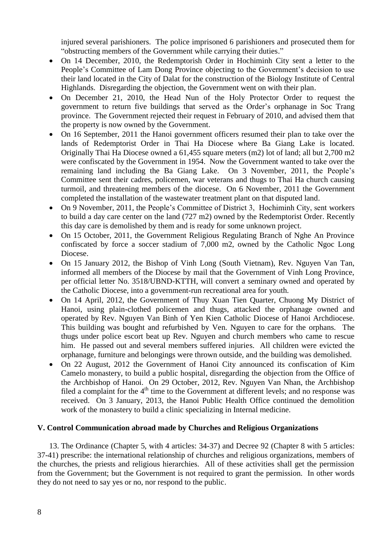injured several parishioners. The police imprisoned 6 parishioners and prosecuted them for "obstructing members of the Government while carrying their duties."

- On 14 December, 2010, the Redemptorish Order in Hochiminh City sent a letter to the People's Committee of Lam Dong Province objecting to the Government's decision to use their land located in the City of Dalat for the construction of the Biology Institute of Central Highlands. Disregarding the objection, the Government went on with their plan.
- On December 21, 2010, the Head Nun of the Holy Protector Order to request the government to return five buildings that served as the Order's orphanage in Soc Trang province. The Government rejected their request in February of 2010, and advised them that the property is now owned by the Government.
- On 16 September, 2011 the Hanoi government officers resumed their plan to take over the lands of Redemptorist Order in Thai Ha Diocese where Ba Giang Lake is located. Originally Thai Ha Diocese owned a 61,455 square meters (m2) lot of land; all but 2,700 m2 were confiscated by the Government in 1954. Now the Government wanted to take over the remaining land including the Ba Giang Lake. On 3 November, 2011, the People's Committee sent their cadres, policemen, war veterans and thugs to Thai Ha church causing turmoil, and threatening members of the diocese. On 6 November, 2011 the Government completed the installation of the wastewater treatment plant on that disputed land.
- On 9 November, 2011, the People's Committee of District 3, Hochiminh City, sent workers to build a day care center on the land (727 m2) owned by the Redemptorist Order. Recently this day care is demolished by them and is ready for some unknown project.
- On 15 October, 2011, the Government Religious Regulating Branch of Nghe An Province confiscated by force a soccer stadium of 7,000 m2, owned by the Catholic Ngoc Long Diocese.
- On 15 January 2012, the Bishop of Vinh Long (South Vietnam), Rev. Nguyen Van Tan, informed all members of the Diocese by mail that the Government of Vinh Long Province, per official letter No. 3518/UBND-KTTH, will convert a seminary owned and operated by the Catholic Diocese, into a government-run recreational area for youth.
- On 14 April, 2012, the Government of Thuy Xuan Tien Quarter, Chuong My District of Hanoi, using plain-clothed policemen and thugs, attacked the orphanage owned and operated by Rev. Nguyen Van Binh of Yen Kien Catholic Diocese of Hanoi Archdiocese. This building was bought and refurbished by Ven. Nguyen to care for the orphans. The thugs under police escort beat up Rev. Nguyen and church members who came to rescue him. He passed out and several members suffered injuries. All children were evicted the orphanage, furniture and belongings were thrown outside, and the building was demolished.
- On 22 August, 2012 the Government of Hanoi City announced its confiscation of Kim Camelo monastery, to build a public hospital, disregarding the objection from the Office of the Archbishop of Hanoi. On 29 October, 2012, Rev. Nguyen Van Nhan, the Archbishop filed a complaint for the  $4<sup>th</sup>$  time to the Government at different levels; and no response was received. On 3 January, 2013, the Hanoi Public Health Office continued the demolition work of the monastery to build a clinic specializing in Internal medicine.

# **V. Control Communication abroad made by Churches and Religious Organizations**

13. The Ordinance (Chapter 5, with 4 articles: 34-37) and Decree 92 (Chapter 8 with 5 articles: 37-41) prescribe: the international relationship of churches and religious organizations, members of the churches, the priests and religious hierarchies. All of these activities shall get the permission from the Government; but the Government is not required to grant the permission. In other words they do not need to say yes or no, nor respond to the public.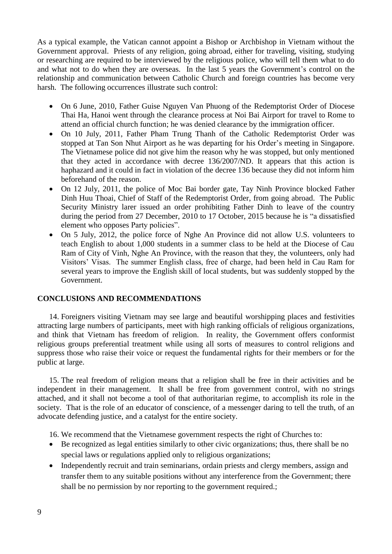As a typical example, the Vatican cannot appoint a Bishop or Archbishop in Vietnam without the Government approval. Priests of any religion, going abroad, either for traveling, visiting, studying or researching are required to be interviewed by the religious police, who will tell them what to do and what not to do when they are overseas. In the last 5 years the Government's control on the relationship and communication between Catholic Church and foreign countries has become very harsh. The following occurrences illustrate such control:

- On 6 June, 2010, Father Guise Nguyen Van Phuong of the Redemptorist Order of Diocese Thai Ha, Hanoi went through the clearance process at Noi Bai Airport for travel to Rome to attend an official church function; he was denied clearance by the immigration officer.
- On 10 July, 2011, Father Pham Trung Thanh of the Catholic Redemptorist Order was stopped at Tan Son Nhut Airport as he was departing for his Order's meeting in Singapore. The Vietnamese police did not give him the reason why he was stopped, but only mentioned that they acted in accordance with decree 136/2007/ND. It appears that this action is haphazard and it could in fact in violation of the decree 136 because they did not inform him beforehand of the reason.
- On 12 July, 2011, the police of Moc Bai border gate, Tay Ninh Province blocked Father Dinh Huu Thoai, Chief of Staff of the Redemptorist Order, from going abroad. The Public Security Ministry larer issued an order prohibiting Father Dinh to leave of the country during the period from 27 December, 2010 to 17 October, 2015 because he is "a dissatisfied element who opposes Party policies".
- On 5 July, 2012, the police force of Nghe An Province did not allow U.S. volunteers to teach English to about 1,000 students in a summer class to be held at the Diocese of Cau Ram of City of Vinh, Nghe An Province, with the reason that they, the volunteers, only had Visitors' Visas. The summer English class, free of charge, had been held in Cau Ram for several years to improve the English skill of local students, but was suddenly stopped by the Government.

# **CONCLUSIONS AND RECOMMENDATIONS**

14. Foreigners visiting Vietnam may see large and beautiful worshipping places and festivities attracting large numbers of participants, meet with high ranking officials of religious organizations, and think that Vietnam has freedom of religion. In reality, the Government offers conformist religious groups preferential treatment while using all sorts of measures to control religions and suppress those who raise their voice or request the fundamental rights for their members or for the public at large.

15. The real freedom of religion means that a religion shall be free in their activities and be independent in their management. It shall be free from government control, with no strings attached, and it shall not become a tool of that authoritarian regime, to accomplish its role in the society. That is the role of an educator of conscience, of a messenger daring to tell the truth, of an advocate defending justice, and a catalyst for the entire society.

16. We recommend that the Vietnamese government respects the right of Churches to:

- Be recognized as legal entities similarly to other civic organizations; thus, there shall be no special laws or regulations applied only to religious organizations;
- Independently recruit and train seminarians, ordain priests and clergy members, assign and transfer them to any suitable positions without any interference from the Government; there shall be no permission by nor reporting to the government required.;